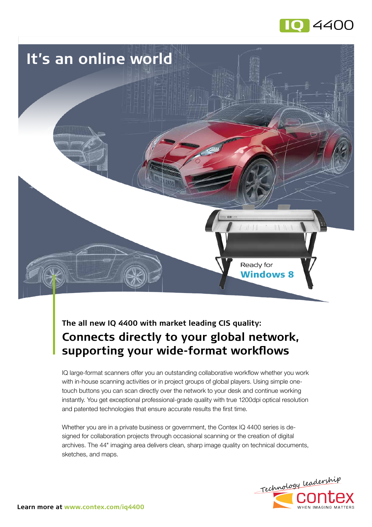



# **The all new IQ 4400 with market leading CIS quality: Connects directly to your global network, supporting your wide-format workflows**

IQ large-format scanners offer you an outstanding collaborative workflow whether you work with in-house scanning activities or in project groups of global players. Using simple onetouch buttons you can scan directly over the network to your desk and continue working instantly. You get exceptional professional-grade quality with true 1200dpi optical resolution and patented technologies that ensure accurate results the first time.

Whether you are in a private business or government, the Contex IQ 4400 series is designed for collaboration projects through occasional scanning or the creation of digital archives. The 44" imaging area delivers clean, sharp image quality on technical documents, sketches, and maps.